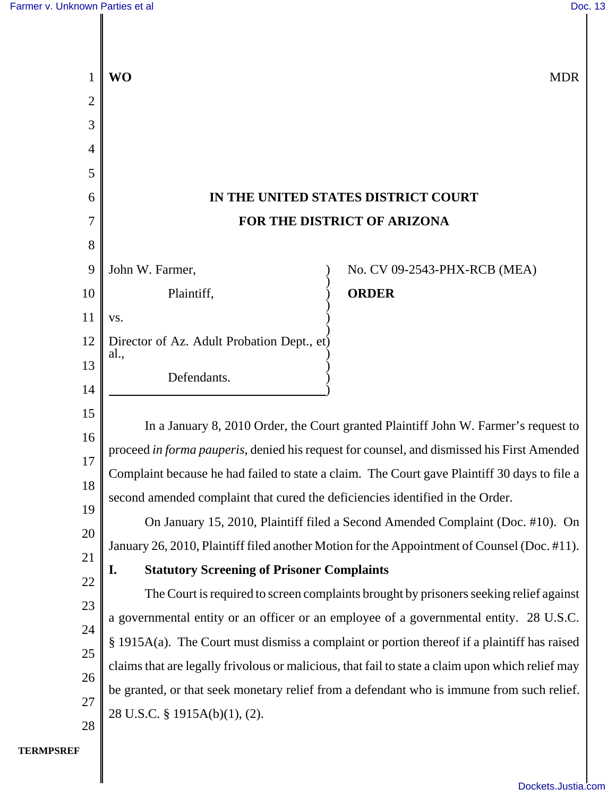

**TERMPSREF**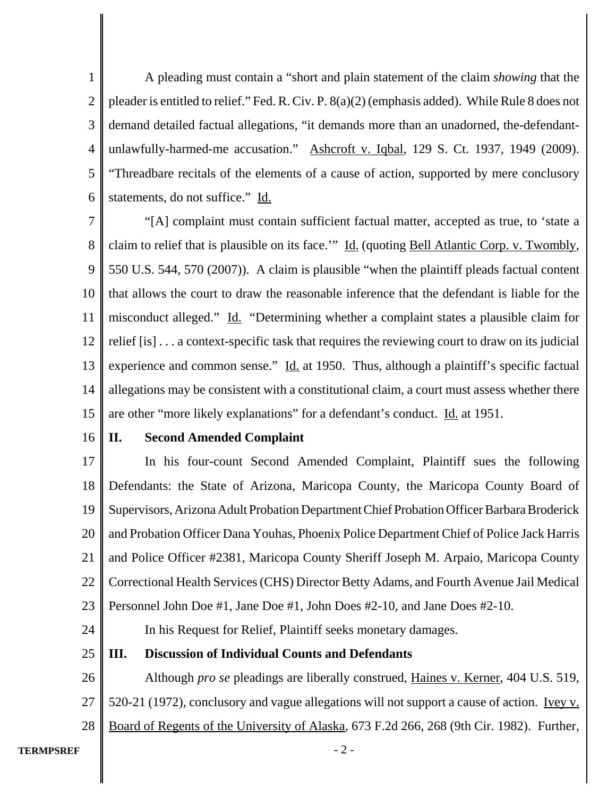1 2 3 4 5 6 A pleading must contain a "short and plain statement of the claim *showing* that the pleader is entitled to relief." Fed. R. Civ. P. 8(a)(2) (emphasis added). While Rule 8 does not demand detailed factual allegations, "it demands more than an unadorned, the-defendantunlawfully-harmed-me accusation." Ashcroft v. Iqbal, 129 S. Ct. 1937, 1949 (2009). "Threadbare recitals of the elements of a cause of action, supported by mere conclusory statements, do not suffice." Id.

7 8 9 10 11 12 13 14 15 "[A] complaint must contain sufficient factual matter, accepted as true, to 'state a claim to relief that is plausible on its face.'" Id. (quoting Bell Atlantic Corp. v. Twombly, 550 U.S. 544, 570 (2007)). A claim is plausible "when the plaintiff pleads factual content that allows the court to draw the reasonable inference that the defendant is liable for the misconduct alleged." Id. "Determining whether a complaint states a plausible claim for relief [is] . . . a context-specific task that requires the reviewing court to draw on its judicial experience and common sense."  $\underline{Id}$  at 1950. Thus, although a plaintiff's specific factual allegations may be consistent with a constitutional claim, a court must assess whether there are other "more likely explanations" for a defendant's conduct. Id. at 1951.

16

24

### **II. Second Amended Complaint**

17 18 19 20 21 22 23 In his four-count Second Amended Complaint, Plaintiff sues the following Defendants: the State of Arizona, Maricopa County, the Maricopa County Board of Supervisors, Arizona Adult Probation Department Chief Probation Officer Barbara Broderick and Probation Officer Dana Youhas, Phoenix Police Department Chief of Police Jack Harris and Police Officer #2381, Maricopa County Sheriff Joseph M. Arpaio, Maricopa County Correctional Health Services (CHS) Director Betty Adams, and Fourth Avenue Jail Medical Personnel John Doe #1, Jane Doe #1, John Does #2-10, and Jane Does #2-10.

In his Request for Relief, Plaintiff seeks monetary damages.

25 **III. Discussion of Individual Counts and Defendants**

26 27 28 Although *pro se* pleadings are liberally construed, Haines v. Kerner, 404 U.S. 519, 520-21 (1972), conclusory and vague allegations will not support a cause of action. <u>Ivey v.</u> Board of Regents of the University of Alaska, 673 F.2d 266, 268 (9th Cir. 1982). Further,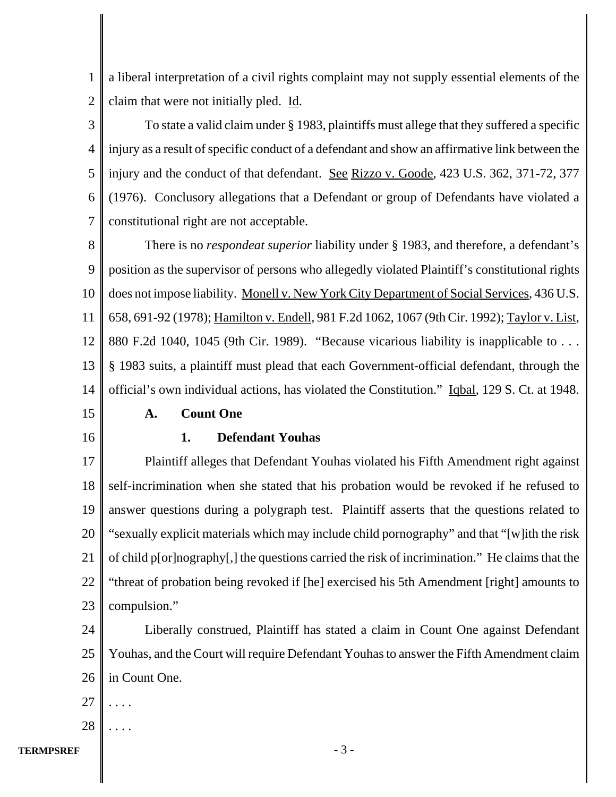1 2 a liberal interpretation of a civil rights complaint may not supply essential elements of the claim that were not initially pled. Id.

3 4 5 6 7 To state a valid claim under § 1983, plaintiffs must allege that they suffered a specific injury as a result of specific conduct of a defendant and show an affirmative link between the injury and the conduct of that defendant. See Rizzo v. Goode, 423 U.S. 362, 371-72, 377 (1976). Conclusory allegations that a Defendant or group of Defendants have violated a constitutional right are not acceptable.

8 9 10 11 12 13 14 There is no *respondeat superior* liability under § 1983, and therefore, a defendant's position as the supervisor of persons who allegedly violated Plaintiff's constitutional rights does not impose liability. Monell v. New York City Department of Social Services, 436 U.S. 658, 691-92 (1978); Hamilton v. Endell, 981 F.2d 1062, 1067 (9th Cir. 1992); Taylor v. List, 880 F.2d 1040, 1045 (9th Cir. 1989). "Because vicarious liability is inapplicable to ... § 1983 suits, a plaintiff must plead that each Government-official defendant, through the official's own individual actions, has violated the Constitution." Iqbal, 129 S. Ct. at 1948.

15

16

**A. Count One**

## **1. Defendant Youhas**

17 18 19 20 21 22 23 Plaintiff alleges that Defendant Youhas violated his Fifth Amendment right against self-incrimination when she stated that his probation would be revoked if he refused to answer questions during a polygraph test. Plaintiff asserts that the questions related to "sexually explicit materials which may include child pornography" and that "[w]ith the risk of child p[or]nography[,] the questions carried the risk of incrimination." He claims that the "threat of probation being revoked if [he] exercised his 5th Amendment [right] amounts to compulsion."

24 25 26 Liberally construed, Plaintiff has stated a claim in Count One against Defendant Youhas, and the Court will require Defendant Youhas to answer the Fifth Amendment claim in Count One.

- 27 . . . .
- 28 . . . .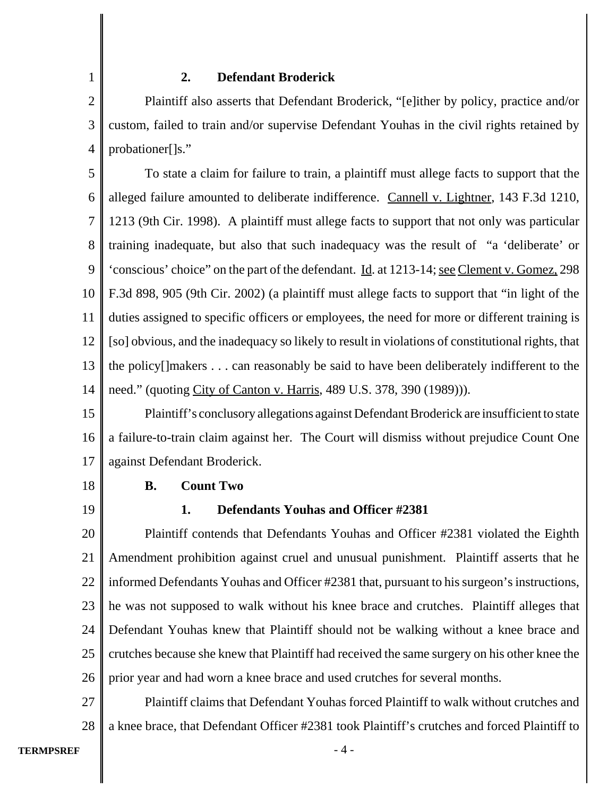### **2. Defendant Broderick**

2 3 4 Plaintiff also asserts that Defendant Broderick, "[e]ither by policy, practice and/or custom, failed to train and/or supervise Defendant Youhas in the civil rights retained by probationer[]s."

5 6 7 8 9 10 11 12 13 14 To state a claim for failure to train, a plaintiff must allege facts to support that the alleged failure amounted to deliberate indifference. Cannell v. Lightner, 143 F.3d 1210, 1213 (9th Cir. 1998). A plaintiff must allege facts to support that not only was particular training inadequate, but also that such inadequacy was the result of "a 'deliberate' or 'conscious' choice" on the part of the defendant. Id. at 1213-14; see Clement v. Gomez, 298 F.3d 898, 905 (9th Cir. 2002) (a plaintiff must allege facts to support that "in light of the duties assigned to specific officers or employees, the need for more or different training is [so] obvious, and the inadequacy so likely to result in violations of constitutional rights, that the policy[]makers . . . can reasonably be said to have been deliberately indifferent to the need." (quoting City of Canton v. Harris, 489 U.S. 378, 390 (1989)).

15 16 17 Plaintiff's conclusory allegations against Defendant Broderick are insufficient to state a failure-to-train claim against her. The Court will dismiss without prejudice Count One against Defendant Broderick.

18

19

1

# **B. Count Two**

## **1. Defendants Youhas and Officer #2381**

20 21 22 23 24 25 26 Plaintiff contends that Defendants Youhas and Officer #2381 violated the Eighth Amendment prohibition against cruel and unusual punishment. Plaintiff asserts that he informed Defendants Youhas and Officer #2381 that, pursuant to his surgeon's instructions, he was not supposed to walk without his knee brace and crutches. Plaintiff alleges that Defendant Youhas knew that Plaintiff should not be walking without a knee brace and crutches because she knew that Plaintiff had received the same surgery on his other knee the prior year and had worn a knee brace and used crutches for several months.

27 28 Plaintiff claims that Defendant Youhas forced Plaintiff to walk without crutches and a knee brace, that Defendant Officer #2381 took Plaintiff's crutches and forced Plaintiff to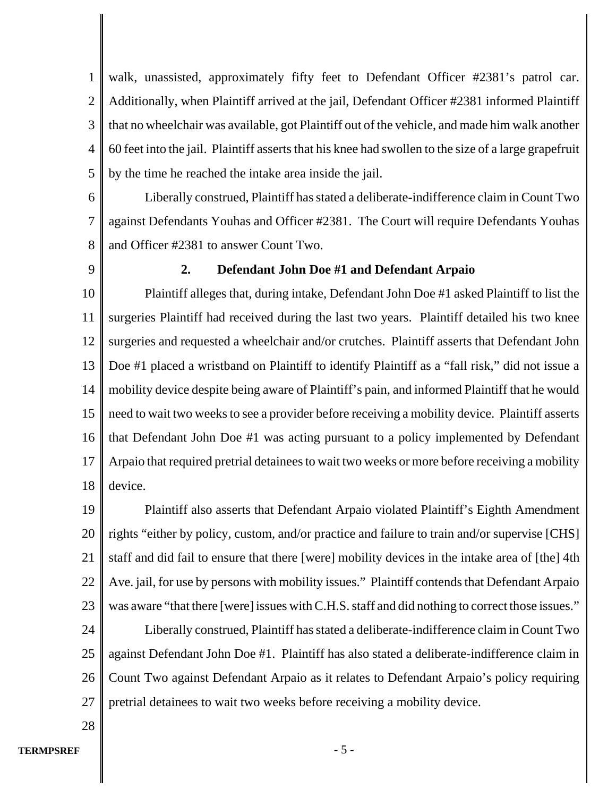1 2 3 4 5 walk, unassisted, approximately fifty feet to Defendant Officer #2381's patrol car. Additionally, when Plaintiff arrived at the jail, Defendant Officer #2381 informed Plaintiff that no wheelchair was available, got Plaintiff out of the vehicle, and made him walk another 60 feet into the jail. Plaintiff asserts that his knee had swollen to the size of a large grapefruit by the time he reached the intake area inside the jail.

6

7 8 Liberally construed, Plaintiff has stated a deliberate-indifference claim in Count Two against Defendants Youhas and Officer #2381. The Court will require Defendants Youhas and Officer #2381 to answer Count Two.

9

## **2. Defendant John Doe #1 and Defendant Arpaio**

10 11 12 13 14 15 16 17 18 Plaintiff alleges that, during intake, Defendant John Doe #1 asked Plaintiff to list the surgeries Plaintiff had received during the last two years. Plaintiff detailed his two knee surgeries and requested a wheelchair and/or crutches. Plaintiff asserts that Defendant John Doe #1 placed a wristband on Plaintiff to identify Plaintiff as a "fall risk," did not issue a mobility device despite being aware of Plaintiff's pain, and informed Plaintiff that he would need to wait two weeks to see a provider before receiving a mobility device. Plaintiff asserts that Defendant John Doe #1 was acting pursuant to a policy implemented by Defendant Arpaio that required pretrial detainees to wait two weeks or more before receiving a mobility device.

19 20 21 22 23 Plaintiff also asserts that Defendant Arpaio violated Plaintiff's Eighth Amendment rights "either by policy, custom, and/or practice and failure to train and/or supervise [CHS] staff and did fail to ensure that there [were] mobility devices in the intake area of [the] 4th Ave. jail, for use by persons with mobility issues." Plaintiff contends that Defendant Arpaio was aware "that there [were] issues with C.H.S. staff and did nothing to correct those issues."

24 25 26 27 Liberally construed, Plaintiff has stated a deliberate-indifference claim in Count Two against Defendant John Doe #1. Plaintiff has also stated a deliberate-indifference claim in Count Two against Defendant Arpaio as it relates to Defendant Arpaio's policy requiring pretrial detainees to wait two weeks before receiving a mobility device.

28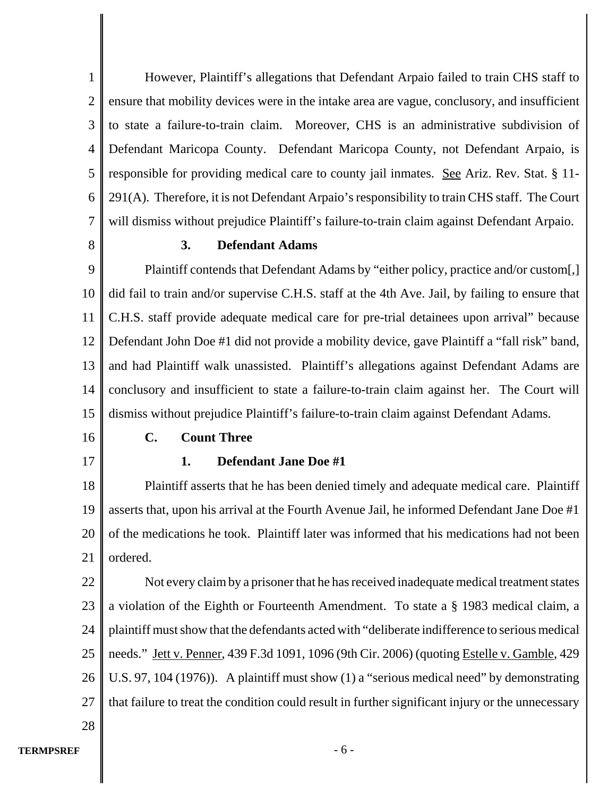1 2 3 4 5 6 7 However, Plaintiff's allegations that Defendant Arpaio failed to train CHS staff to ensure that mobility devices were in the intake area are vague, conclusory, and insufficient to state a failure-to-train claim. Moreover, CHS is an administrative subdivision of Defendant Maricopa County. Defendant Maricopa County, not Defendant Arpaio, is responsible for providing medical care to county jail inmates. See Ariz. Rev. Stat. § 11-291(A). Therefore, it is not Defendant Arpaio's responsibility to train CHS staff. The Court will dismiss without prejudice Plaintiff's failure-to-train claim against Defendant Arpaio.

8

## **3. Defendant Adams**

9 10 11 12 13 14 15 Plaintiff contends that Defendant Adams by "either policy, practice and/or custom[,] did fail to train and/or supervise C.H.S. staff at the 4th Ave. Jail, by failing to ensure that C.H.S. staff provide adequate medical care for pre-trial detainees upon arrival" because Defendant John Doe #1 did not provide a mobility device, gave Plaintiff a "fall risk" band, and had Plaintiff walk unassisted. Plaintiff's allegations against Defendant Adams are conclusory and insufficient to state a failure-to-train claim against her. The Court will dismiss without prejudice Plaintiff's failure-to-train claim against Defendant Adams.

16

17

## **C. Count Three**

## **1. Defendant Jane Doe #1**

18 19 20 21 Plaintiff asserts that he has been denied timely and adequate medical care. Plaintiff asserts that, upon his arrival at the Fourth Avenue Jail, he informed Defendant Jane Doe #1 of the medications he took. Plaintiff later was informed that his medications had not been ordered.

22 23 24 25 26 27 Not every claim by a prisoner that he has received inadequate medical treatment states a violation of the Eighth or Fourteenth Amendment. To state a § 1983 medical claim, a plaintiff must show that the defendants acted with "deliberate indifference to serious medical needs." Jett v. Penner, 439 F.3d 1091, 1096 (9th Cir. 2006) (quoting Estelle v. Gamble, 429 U.S. 97, 104 (1976)). A plaintiff must show (1) a "serious medical need" by demonstrating that failure to treat the condition could result in further significant injury or the unnecessary

28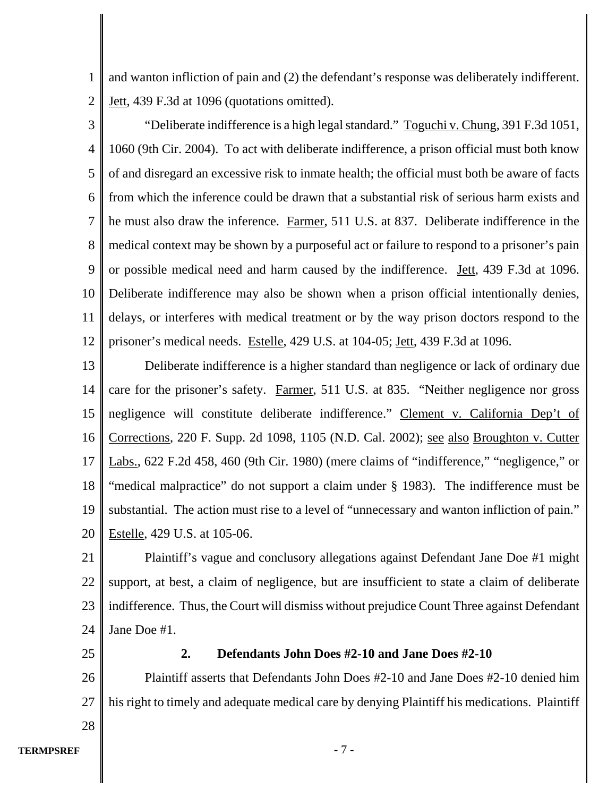1 2 and wanton infliction of pain and (2) the defendant's response was deliberately indifferent. Jett, 439 F.3d at 1096 (quotations omitted).

3 4 5 6 7 8 9 10 11 12 "Deliberate indifference is a high legal standard." Toguchi v. Chung, 391 F.3d 1051, 1060 (9th Cir. 2004). To act with deliberate indifference, a prison official must both know of and disregard an excessive risk to inmate health; the official must both be aware of facts from which the inference could be drawn that a substantial risk of serious harm exists and he must also draw the inference. Farmer, 511 U.S. at 837. Deliberate indifference in the medical context may be shown by a purposeful act or failure to respond to a prisoner's pain or possible medical need and harm caused by the indifference. Jett, 439 F.3d at 1096. Deliberate indifference may also be shown when a prison official intentionally denies, delays, or interferes with medical treatment or by the way prison doctors respond to the prisoner's medical needs. Estelle, 429 U.S. at 104-05; Jett, 439 F.3d at 1096.

13 14 15 16 17 18 19 20 Deliberate indifference is a higher standard than negligence or lack of ordinary due care for the prisoner's safety. Farmer, 511 U.S. at 835. "Neither negligence nor gross negligence will constitute deliberate indifference." Clement v. California Dep't of Corrections, 220 F. Supp. 2d 1098, 1105 (N.D. Cal. 2002); see also Broughton v. Cutter Labs., 622 F.2d 458, 460 (9th Cir. 1980) (mere claims of "indifference," "negligence," or "medical malpractice" do not support a claim under § 1983). The indifference must be substantial. The action must rise to a level of "unnecessary and wanton infliction of pain." Estelle, 429 U.S. at 105-06.

21 22 23 24 Plaintiff's vague and conclusory allegations against Defendant Jane Doe #1 might support, at best, a claim of negligence, but are insufficient to state a claim of deliberate indifference. Thus, the Court will dismiss without prejudice Count Three against Defendant Jane Doe #1.

25

28

## **2. Defendants John Does #2-10 and Jane Does #2-10**

26 27 Plaintiff asserts that Defendants John Does #2-10 and Jane Does #2-10 denied him his right to timely and adequate medical care by denying Plaintiff his medications. Plaintiff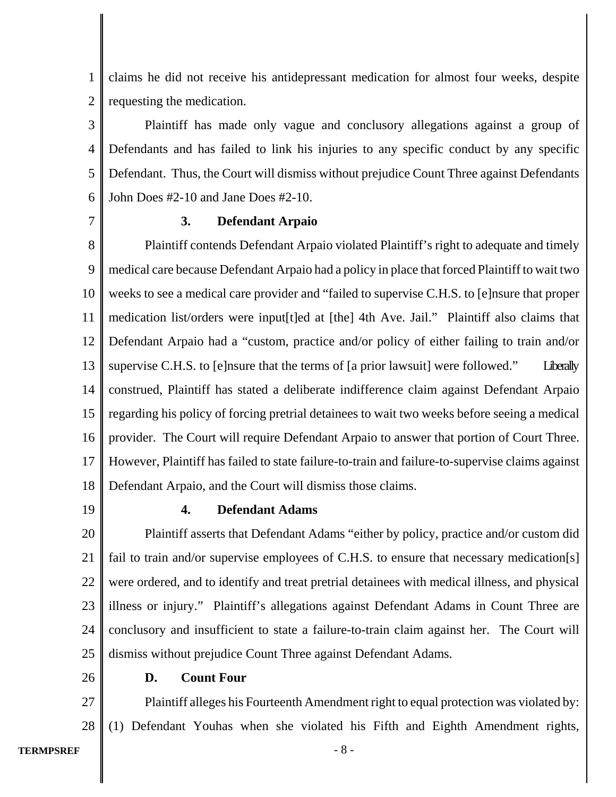1 2 claims he did not receive his antidepressant medication for almost four weeks, despite requesting the medication.

3 4 5 6 Plaintiff has made only vague and conclusory allegations against a group of Defendants and has failed to link his injuries to any specific conduct by any specific Defendant. Thus, the Court will dismiss without prejudice Count Three against Defendants John Does #2-10 and Jane Does #2-10.

7

## **3. Defendant Arpaio**

8 9 10 11 12 13 14 15 16 17 18 Plaintiff contends Defendant Arpaio violated Plaintiff's right to adequate and timely medical care because Defendant Arpaio had a policy in place that forced Plaintiff to wait two weeks to see a medical care provider and "failed to supervise C.H.S. to [e]nsure that proper medication list/orders were input[t]ed at [the] 4th Ave. Jail." Plaintiff also claims that Defendant Arpaio had a "custom, practice and/or policy of either failing to train and/or supervise C.H.S. to [e]nsure that the terms of [a prior lawsuit] were followed." Liberally construed, Plaintiff has stated a deliberate indifference claim against Defendant Arpaio regarding his policy of forcing pretrial detainees to wait two weeks before seeing a medical provider. The Court will require Defendant Arpaio to answer that portion of Court Three. However, Plaintiff has failed to state failure-to-train and failure-to-supervise claims against Defendant Arpaio, and the Court will dismiss those claims.

19

26

## **4. Defendant Adams**

20 21 22 23 24 25 Plaintiff asserts that Defendant Adams "either by policy, practice and/or custom did fail to train and/or supervise employees of C.H.S. to ensure that necessary medication[s] were ordered, and to identify and treat pretrial detainees with medical illness, and physical illness or injury." Plaintiff's allegations against Defendant Adams in Count Three are conclusory and insufficient to state a failure-to-train claim against her. The Court will dismiss without prejudice Count Three against Defendant Adams.

**D. Count Four**

27 28 Plaintiff alleges his Fourteenth Amendment right to equal protection was violated by: (1) Defendant Youhas when she violated his Fifth and Eighth Amendment rights,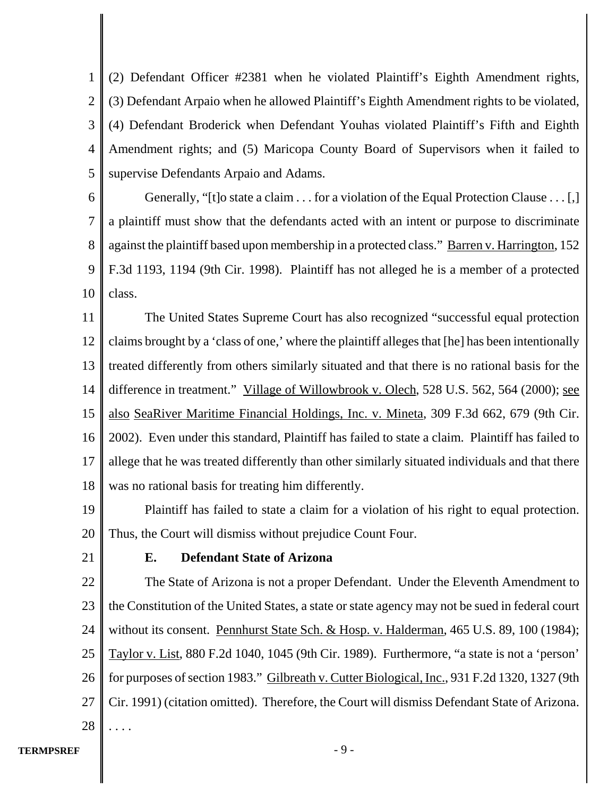1 2 3 4 5 (2) Defendant Officer #2381 when he violated Plaintiff's Eighth Amendment rights, (3) Defendant Arpaio when he allowed Plaintiff's Eighth Amendment rights to be violated, (4) Defendant Broderick when Defendant Youhas violated Plaintiff's Fifth and Eighth Amendment rights; and (5) Maricopa County Board of Supervisors when it failed to supervise Defendants Arpaio and Adams.

6 7 8 9 10 Generally, "[t]o state a claim . . . for a violation of the Equal Protection Clause . . . [,] a plaintiff must show that the defendants acted with an intent or purpose to discriminate against the plaintiff based upon membership in a protected class." Barren v. Harrington, 152 F.3d 1193, 1194 (9th Cir. 1998). Plaintiff has not alleged he is a member of a protected class.

11 12 13 14 15 16 17 18 The United States Supreme Court has also recognized "successful equal protection claims brought by a 'class of one,' where the plaintiff alleges that [he] has been intentionally treated differently from others similarly situated and that there is no rational basis for the difference in treatment." Village of Willowbrook v. Olech, 528 U.S. 562, 564 (2000); see also SeaRiver Maritime Financial Holdings, Inc. v. Mineta, 309 F.3d 662, 679 (9th Cir. 2002). Even under this standard, Plaintiff has failed to state a claim. Plaintiff has failed to allege that he was treated differently than other similarly situated individuals and that there was no rational basis for treating him differently.

19 20 Plaintiff has failed to state a claim for a violation of his right to equal protection. Thus, the Court will dismiss without prejudice Count Four.

21

## **E. Defendant State of Arizona**

22 23 24 25 26 27 28 The State of Arizona is not a proper Defendant. Under the Eleventh Amendment to the Constitution of the United States, a state or state agency may not be sued in federal court without its consent. Pennhurst State Sch. & Hosp. v. Halderman, 465 U.S. 89, 100 (1984); Taylor v. List, 880 F.2d 1040, 1045 (9th Cir. 1989). Furthermore, "a state is not a 'person' for purposes of section 1983." Gilbreath v. Cutter Biological, Inc., 931 F.2d 1320, 1327 (9th Cir. 1991) (citation omitted).Therefore, the Court will dismiss Defendant State of Arizona. . . . .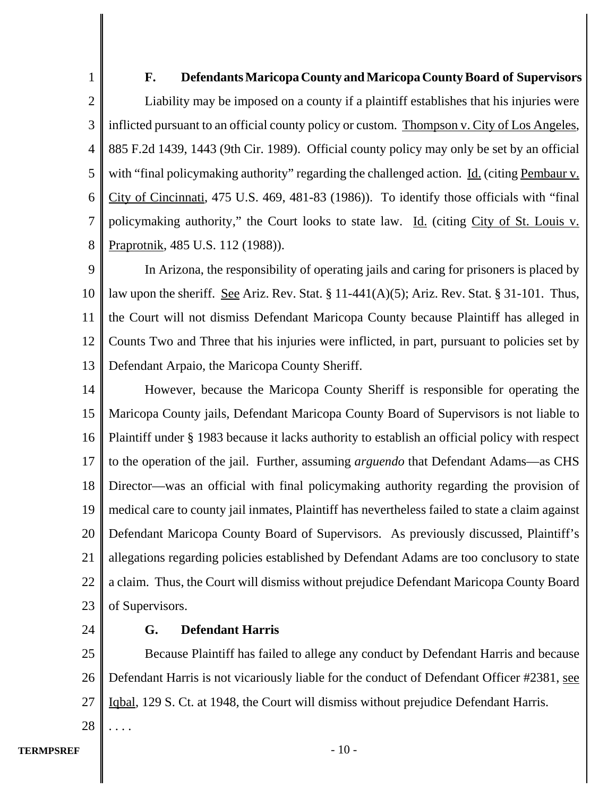1 2 3 4 5 6 7 8 **F. Defendants Maricopa County and Maricopa County Board of Supervisors** Liability may be imposed on a county if a plaintiff establishes that his injuries were inflicted pursuant to an official county policy or custom. Thompson v. City of Los Angeles, 885 F.2d 1439, 1443 (9th Cir. 1989). Official county policy may only be set by an official with "final policymaking authority" regarding the challenged action. <u>Id.</u> (citing Pembaur v. City of Cincinnati, 475 U.S. 469, 481-83 (1986)). To identify those officials with "final policymaking authority," the Court looks to state law. Id. (citing City of St. Louis v. Praprotnik, 485 U.S. 112 (1988)).

9 10 11 12 13 In Arizona, the responsibility of operating jails and caring for prisoners is placed by law upon the sheriff. See Ariz. Rev. Stat.  $\S 11-441(A)(5)$ ; Ariz. Rev. Stat.  $\S 31-101$ . Thus, the Court will not dismiss Defendant Maricopa County because Plaintiff has alleged in Counts Two and Three that his injuries were inflicted, in part, pursuant to policies set by Defendant Arpaio, the Maricopa County Sheriff.

14 15 16 17 18 19 20 21 22 23 However, because the Maricopa County Sheriff is responsible for operating the Maricopa County jails, Defendant Maricopa County Board of Supervisors is not liable to Plaintiff under § 1983 because it lacks authority to establish an official policy with respect to the operation of the jail. Further, assuming *arguendo* that Defendant Adams—as CHS Director—was an official with final policymaking authority regarding the provision of medical care to county jail inmates, Plaintiff has nevertheless failed to state a claim against Defendant Maricopa County Board of Supervisors. As previously discussed, Plaintiff's allegations regarding policies established by Defendant Adams are too conclusory to state a claim. Thus, the Court will dismiss without prejudice Defendant Maricopa County Board of Supervisors.

24

28

. . . .

## **G. Defendant Harris**

25 26 27 Because Plaintiff has failed to allege any conduct by Defendant Harris and because Defendant Harris is not vicariously liable for the conduct of Defendant Officer #2381, see Iqbal, 129 S. Ct. at 1948, the Court will dismiss without prejudice Defendant Harris.

**TERMPSREF** - 10 -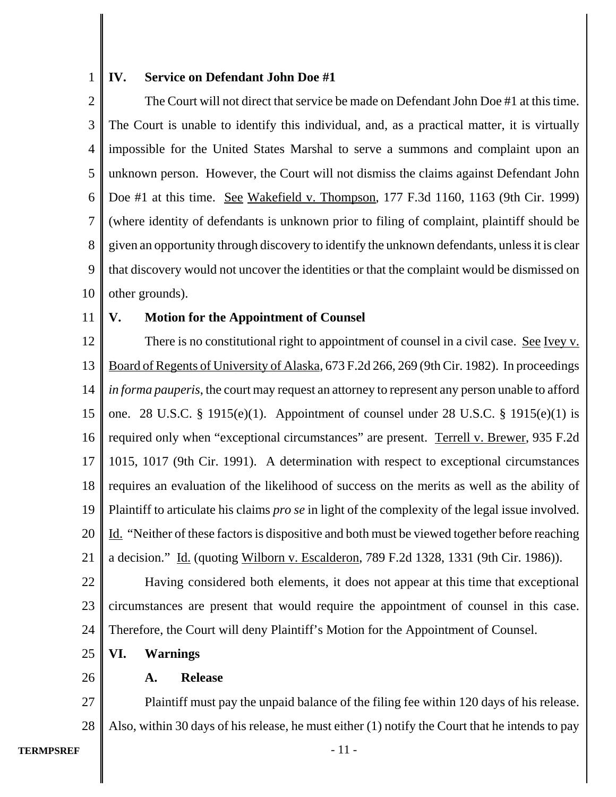#### 1 **IV. Service on Defendant John Doe #1**

2 3 4 5 6 7 8 9 10 The Court will not direct that service be made on Defendant John Doe #1 at this time. The Court is unable to identify this individual, and, as a practical matter, it is virtually impossible for the United States Marshal to serve a summons and complaint upon an unknown person. However, the Court will not dismiss the claims against Defendant John Doe #1 at this time. <u>See Wakefield v. Thompson</u>, 177 F.3d 1160, 1163 (9th Cir. 1999) (where identity of defendants is unknown prior to filing of complaint, plaintiff should be given an opportunity through discovery to identify the unknown defendants, unless it is clear that discovery would not uncover the identities or that the complaint would be dismissed on other grounds).

11

## **V. Motion for the Appointment of Counsel**

12 13 14 15 16 17 18 19 20 21 There is no constitutional right to appointment of counsel in a civil case. See Ivey v. Board of Regents of University of Alaska, 673 F.2d 266, 269 (9th Cir. 1982). In proceedings *in forma pauperis*, the court may request an attorney to represent any person unable to afford one. 28 U.S.C. § 1915(e)(1). Appointment of counsel under 28 U.S.C. § 1915(e)(1) is required only when "exceptional circumstances" are present. Terrell v. Brewer, 935 F.2d 1015, 1017 (9th Cir. 1991). A determination with respect to exceptional circumstances requires an evaluation of the likelihood of success on the merits as well as the ability of Plaintiff to articulate his claims *pro se* in light of the complexity of the legal issue involved. Id. "Neither of these factors is dispositive and both must be viewed together before reaching a decision." Id. (quoting Wilborn v. Escalderon, 789 F.2d 1328, 1331 (9th Cir. 1986)).

22 23 24 Having considered both elements, it does not appear at this time that exceptional circumstances are present that would require the appointment of counsel in this case. Therefore, the Court will deny Plaintiff's Motion for the Appointment of Counsel.

25 **VI. Warnings**

#### **A. Release**

27 28 Plaintiff must pay the unpaid balance of the filing fee within 120 days of his release. Also, within 30 days of his release, he must either (1) notify the Court that he intends to pay

26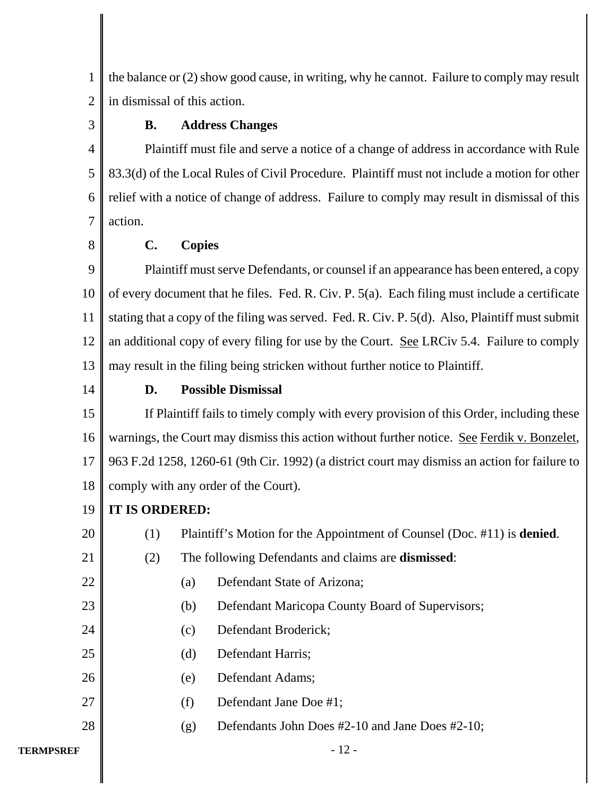1 2 the balance or (2) show good cause, in writing, why he cannot. Failure to comply may result in dismissal of this action.

3

# **B. Address Changes**

4 5 6 7 Plaintiff must file and serve a notice of a change of address in accordance with Rule 83.3(d) of the Local Rules of Civil Procedure. Plaintiff must not include a motion for other relief with a notice of change of address. Failure to comply may result in dismissal of this action.

8

# **C. Copies**

9 10 11 12 13 Plaintiff must serve Defendants, or counsel if an appearance has been entered, a copy of every document that he files. Fed. R. Civ. P. 5(a). Each filing must include a certificate stating that a copy of the filing was served. Fed. R. Civ. P. 5(d). Also, Plaintiff must submit an additional copy of every filing for use by the Court. See LRCiv 5.4. Failure to comply may result in the filing being stricken without further notice to Plaintiff.

14

# **D. Possible Dismissal**

15 16 17 18 If Plaintiff fails to timely comply with every provision of this Order, including these warnings, the Court may dismiss this action without further notice. See Ferdik v. Bonzelet, 963 F.2d 1258, 1260-61 (9th Cir. 1992) (a district court may dismiss an action for failure to comply with any order of the Court).

#### 19 **IT IS ORDERED:**

| 20        | (1) |                                                            | Plaintiff's Motion for the Appointment of Counsel (Doc. #11) is <b>denied</b> . |  |
|-----------|-----|------------------------------------------------------------|---------------------------------------------------------------------------------|--|
| 21        | (2) | The following Defendants and claims are <b>dismissed</b> : |                                                                                 |  |
| 22        |     | (a)                                                        | Defendant State of Arizona;                                                     |  |
| 23        |     | (b)                                                        | Defendant Maricopa County Board of Supervisors;                                 |  |
| 24        |     | (c)                                                        | Defendant Broderick;                                                            |  |
| 25        |     | (d)                                                        | Defendant Harris;                                                               |  |
| 26        |     | (e)                                                        | Defendant Adams;                                                                |  |
| 27        |     | (f)                                                        | Defendant Jane Doe #1;                                                          |  |
| 28        |     | (g)                                                        | Defendants John Does #2-10 and Jane Does #2-10;                                 |  |
| TERMPSREF |     |                                                            | - 12 -                                                                          |  |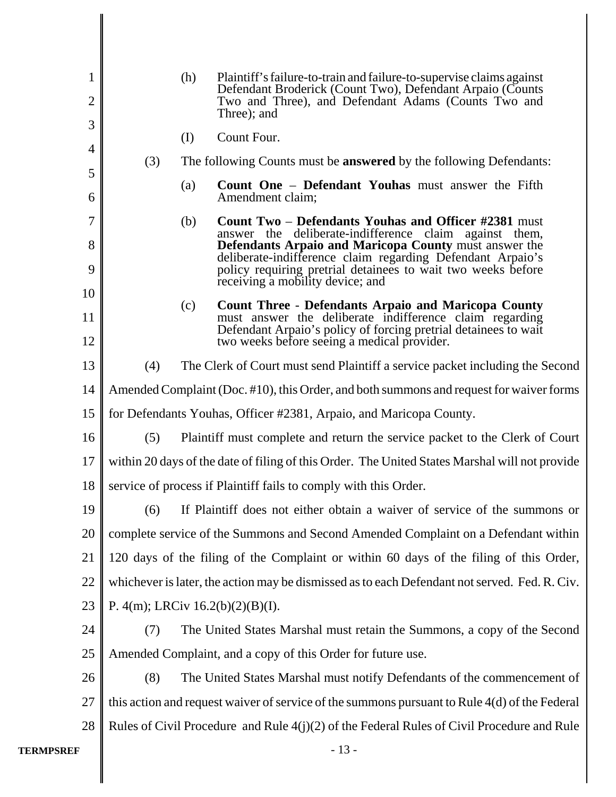| 1                |                                                                                                 | (h) | Plaintiff's failure-to-train and failure-to-supervise claims against                                                            |  |  |
|------------------|-------------------------------------------------------------------------------------------------|-----|---------------------------------------------------------------------------------------------------------------------------------|--|--|
| $\overline{2}$   |                                                                                                 |     | Defendant Broderick (Count Two), Defendant Arpaio (Counts<br>Two and Three), and Defendant Adams (Counts Two and<br>Three); and |  |  |
| 3                |                                                                                                 | (I) | Count Four.                                                                                                                     |  |  |
| $\overline{4}$   | (3)                                                                                             |     | The following Counts must be <b>answered</b> by the following Defendants:                                                       |  |  |
| 5                |                                                                                                 | (a) | Count One - Defendant Youhas must answer the Fifth                                                                              |  |  |
| 6                |                                                                                                 |     | Amendment claim;                                                                                                                |  |  |
| $\overline{7}$   |                                                                                                 | (b) | <b>Count Two – Defendants Youhas and Officer #2381 must</b><br>answer the deliberate-indifference claim against them,           |  |  |
| 8                |                                                                                                 |     | Defendants Arpaio and Maricopa County must answer the<br>deliberate-indifference claim regarding Defendant Arpaio's             |  |  |
| 9                |                                                                                                 |     | policy requiring pretrial detainees to wait two weeks before<br>receiving a mobility device; and                                |  |  |
| 10               |                                                                                                 | (c) | <b>Count Three - Defendants Arpaio and Maricopa County</b>                                                                      |  |  |
| 11               |                                                                                                 |     | must answer the deliberate indifference claim regarding<br>Defendant Arpaio's policy of forcing pretrial detainees to wait      |  |  |
| 12               |                                                                                                 |     | two weeks before seeing a medical provider.                                                                                     |  |  |
| 13               | (4)<br>The Clerk of Court must send Plaintiff a service packet including the Second             |     |                                                                                                                                 |  |  |
| 14               | Amended Complaint (Doc. #10), this Order, and both summons and request for waiver forms         |     |                                                                                                                                 |  |  |
| 15               | for Defendants Youhas, Officer #2381, Arpaio, and Maricopa County.                              |     |                                                                                                                                 |  |  |
| 16               | (5)                                                                                             |     | Plaintiff must complete and return the service packet to the Clerk of Court                                                     |  |  |
| 17               | within 20 days of the date of filing of this Order. The United States Marshal will not provide  |     |                                                                                                                                 |  |  |
| 18               | service of process if Plaintiff fails to comply with this Order.                                |     |                                                                                                                                 |  |  |
| 19               |                                                                                                 |     | (6) If Plaintiff does not either obtain a waiver of service of the summons or                                                   |  |  |
| 20               | complete service of the Summons and Second Amended Complaint on a Defendant within              |     |                                                                                                                                 |  |  |
| 21               | 120 days of the filing of the Complaint or within 60 days of the filing of this Order,          |     |                                                                                                                                 |  |  |
| 22               | whichever is later, the action may be dismissed as to each Defendant not served. Fed. R. Civ.   |     |                                                                                                                                 |  |  |
| 23               | P. 4(m); LRCiv 16.2(b)(2)(B)(I).                                                                |     |                                                                                                                                 |  |  |
| 24               | (7)                                                                                             |     | The United States Marshal must retain the Summons, a copy of the Second                                                         |  |  |
| 25               |                                                                                                 |     | Amended Complaint, and a copy of this Order for future use.                                                                     |  |  |
| 26               | (8)                                                                                             |     | The United States Marshal must notify Defendants of the commencement of                                                         |  |  |
| 27               | this action and request waiver of service of the summons pursuant to Rule $4(d)$ of the Federal |     |                                                                                                                                 |  |  |
| 28               | Rules of Civil Procedure and Rule $4(j)(2)$ of the Federal Rules of Civil Procedure and Rule    |     |                                                                                                                                 |  |  |
| <b>TERMPSREF</b> |                                                                                                 |     | $-13-$                                                                                                                          |  |  |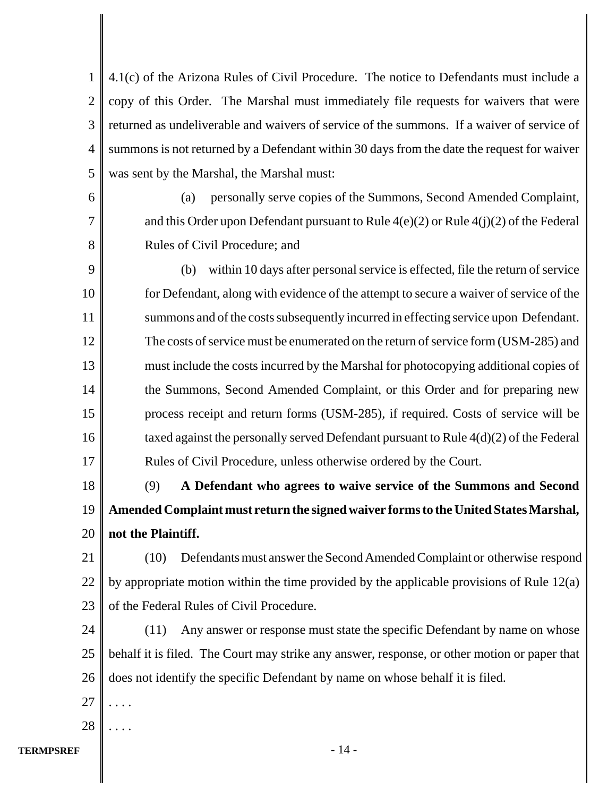1 2 3 4 5 4.1(c) of the Arizona Rules of Civil Procedure. The notice to Defendants must include a copy of this Order. The Marshal must immediately file requests for waivers that were returned as undeliverable and waivers of service of the summons. If a waiver of service of summons is not returned by a Defendant within 30 days from the date the request for waiver was sent by the Marshal, the Marshal must:

6 7 8

(a) personally serve copies of the Summons, Second Amended Complaint, and this Order upon Defendant pursuant to Rule  $4(e)(2)$  or Rule  $4(i)(2)$  of the Federal Rules of Civil Procedure; and

9 10 11 12 13 14 15 16 17 (b) within 10 days after personal service is effected, file the return of service for Defendant, along with evidence of the attempt to secure a waiver of service of the summons and of the costs subsequently incurred in effecting service upon Defendant. The costs of service must be enumerated on the return of service form (USM-285) and must include the costs incurred by the Marshal for photocopying additional copies of the Summons, Second Amended Complaint, or this Order and for preparing new process receipt and return forms (USM-285), if required. Costs of service will be taxed against the personally served Defendant pursuant to Rule 4(d)(2) of the Federal Rules of Civil Procedure, unless otherwise ordered by the Court.

18 19 20 (9) **A Defendant who agrees to waive service of the Summons and Second Amended Complaint must return the signed waiver forms to the United States Marshal, not the Plaintiff.**

21 22 23 (10) Defendants must answer the Second Amended Complaint or otherwise respond by appropriate motion within the time provided by the applicable provisions of Rule 12(a) of the Federal Rules of Civil Procedure.

24 25 26 (11) Any answer or response must state the specific Defendant by name on whose behalf it is filed. The Court may strike any answer, response, or other motion or paper that does not identify the specific Defendant by name on whose behalf it is filed.

- 27 . . . .
- 28 . . . .